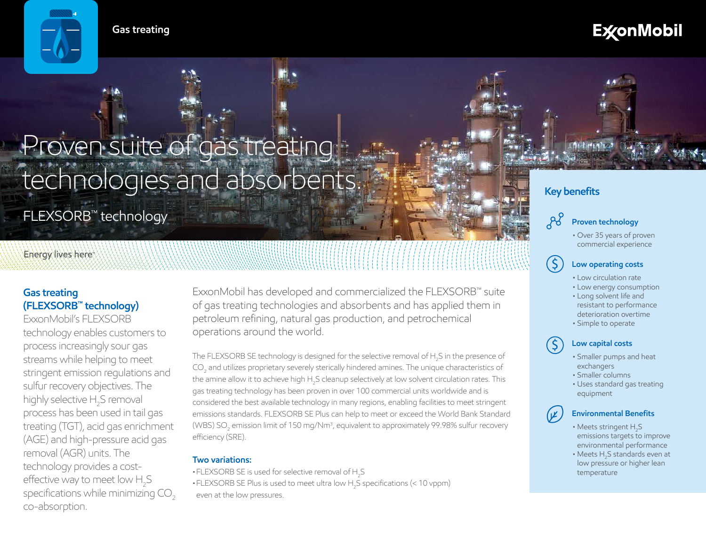**Gas treating**

# **ExconMobil**

# Proven suite of gas treating technologies and absorbents.

FLEXSORB™ technology

# Energy lives here

# **Gas treating (FLEXSORB™ technology)**

ExxonMobil's FLEXSORB technology enables customers to process increasingly sour gas streams while helping to meet stringent emission regulations and sulfur recovery objectives. The highly selective  $H_2$ S removal process has been used in tail gas treating (TGT), acid gas enrichment (AGE) and high-pressure acid gas removal (AGR) units. The technology provides a costeffective way to meet low  $\rm H_2S$ specifications while minimizing CO<sub>2</sub> co-absorption.

ExxonMobil has developed and commercialized the FLEXSORB™ suite of gas treating technologies and absorbents and has applied them in petroleum refining, natural gas production, and petrochemical operations around the world.

The FLEXSORB SE technology is designed for the selective removal of H<sub>2</sub>S in the presence of  $\mathrm{CO}_2$  and utilizes proprietary severely sterically hindered amines. The unique characteristics of the amine allow it to achieve high H<sub>2</sub>S cleanup selectively at low solvent circulation rates. This gas treating technology has been proven in over 100 commercial units worldwide and is considered the best available technology in many regions, enabling facilities to meet stringent emissions standards. FLEXSORB SE Plus can help to meet or exceed the World Bank Standard (WBS) SO $_{\rm 2}$  emission limit of 150 mg/Nm<sup>3</sup>, equivalent to approximately 99.98% sulfur recovery efficiency (SRE).

#### **Two variations:**

- $\bullet$  FLEXSORB SE is used for selective removal of H<sub>2</sub>S
- $\bullet$  FLEXSORB SE Plus is used to meet ultra low H<sub>2</sub>S specifications (< 10 vppm) even at the low pressures.



# **Key benefits**



• Over 35 years of proven commercial experience

# **Low operating costs**

- Low circulation rate
- Low energy consumption
- Long solvent life and resistant to performance deterioration overtime
- Simple to operate

## **Low capital costs**

\$

(V

 $(5)$ 

- Smaller pumps and heat exchangers
- Smaller columns
- Uses standard gas treating equipment

# **Environmental Benefits**

- Meets stringent  $H_2S$ emissions targets to improve environmental performance
- $\bullet$  Meets  $\mathsf{H}_2\mathsf{S}$  standards even at low pressure or higher lean temperature